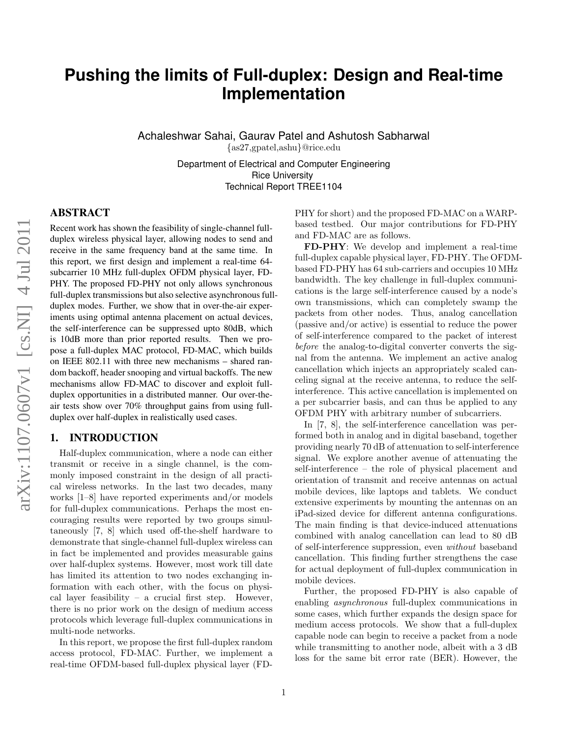# **Pushing the limits of Full-duplex: Design and Real-time Implementation**

Achaleshwar Sahai, Gaurav Patel and Ashutosh Sabharwal {as27,gpatel,ashu}@rice.edu

> Department of Electrical and Computer Engineering Rice University Technical Report TREE1104

# ABSTRACT

Recent work has shown the feasibility of single-channel fullduplex wireless physical layer, allowing nodes to send and receive in the same frequency band at the same time. In this report, we first design and implement a real-time 64 subcarrier 10 MHz full-duplex OFDM physical layer, FD-PHY. The proposed FD-PHY not only allows synchronous full-duplex transmissions but also selective asynchronous fullduplex modes. Further, we show that in over-the-air experiments using optimal antenna placement on actual devices, the self-interference can be suppressed upto 80dB, which is 10dB more than prior reported results. Then we propose a full-duplex MAC protocol, FD-MAC, which builds on IEEE 802.11 with three new mechanisms – shared random backoff, header snooping and virtual backoffs. The new mechanisms allow FD-MAC to discover and exploit fullduplex opportunities in a distributed manner. Our over-theair tests show over 70% throughput gains from using fullduplex over half-duplex in realistically used cases.

# 1. INTRODUCTION

Half-duplex communication, where a node can either transmit or receive in a single channel, is the commonly imposed constraint in the design of all practical wireless networks. In the last two decades, many works [\[1–](#page-11-0)[8\]](#page-11-1) have reported experiments and/or models for full-duplex communications. Perhaps the most encouraging results were reported by two groups simultaneously [\[7,](#page-11-2) [8\]](#page-11-1) which used off-the-shelf hardware to demonstrate that single-channel full-duplex wireless can in fact be implemented and provides measurable gains over half-duplex systems. However, most work till date has limited its attention to two nodes exchanging information with each other, with the focus on physical layer feasibility – a crucial first step. However, there is no prior work on the design of medium access protocols which leverage full-duplex communications in multi-node networks.

In this report, we propose the first full-duplex random access protocol, FD-MAC. Further, we implement a real-time OFDM-based full-duplex physical layer (FD- PHY for short) and the proposed FD-MAC on a WARPbased testbed. Our major contributions for FD-PHY and FD-MAC are as follows.

FD-PHY: We develop and implement a real-time full-duplex capable physical layer, FD-PHY. The OFDMbased FD-PHY has 64 sub-carriers and occupies 10 MHz bandwidth. The key challenge in full-duplex communications is the large self-interference caused by a node's own transmissions, which can completely swamp the packets from other nodes. Thus, analog cancellation (passive and/or active) is essential to reduce the power of self-interference compared to the packet of interest before the analog-to-digital converter converts the signal from the antenna. We implement an active analog cancellation which injects an appropriately scaled canceling signal at the receive antenna, to reduce the selfinterference. This active cancellation is implemented on a per subcarrier basis, and can thus be applied to any OFDM PHY with arbitrary number of subcarriers.

In [\[7,](#page-11-2) [8\]](#page-11-1), the self-interference cancellation was performed both in analog and in digital baseband, together providing nearly 70 dB of attenuation to self-interference signal. We explore another avenue of attenuating the self-interference – the role of physical placement and orientation of transmit and receive antennas on actual mobile devices, like laptops and tablets. We conduct extensive experiments by mounting the antennas on an iPad-sized device for different antenna configurations. The main finding is that device-induced attenuations combined with analog cancellation can lead to 80 dB of self-interference suppression, even without baseband cancellation. This finding further strengthens the case for actual deployment of full-duplex communication in mobile devices.

Further, the proposed FD-PHY is also capable of enabling asynchronous full-duplex communications in some cases, which further expands the design space for medium access protocols. We show that a full-duplex capable node can begin to receive a packet from a node while transmitting to another node, albeit with a 3 dB loss for the same bit error rate (BER). However, the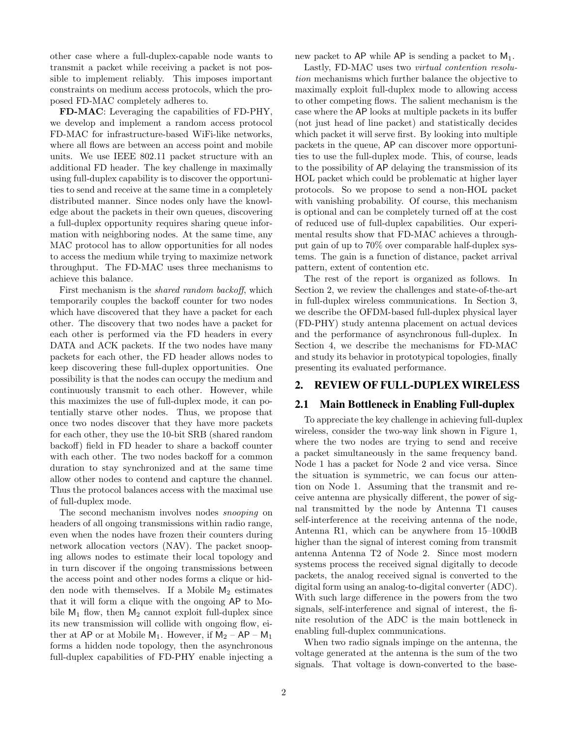other case where a full-duplex-capable node wants to transmit a packet while receiving a packet is not possible to implement reliably. This imposes important constraints on medium access protocols, which the proposed FD-MAC completely adheres to.

FD-MAC: Leveraging the capabilities of FD-PHY, we develop and implement a random access protocol FD-MAC for infrastructure-based WiFi-like networks, where all flows are between an access point and mobile units. We use IEEE 802.11 packet structure with an additional FD header. The key challenge in maximally using full-duplex capability is to discover the opportunities to send and receive at the same time in a completely distributed manner. Since nodes only have the knowledge about the packets in their own queues, discovering a full-duplex opportunity requires sharing queue information with neighboring nodes. At the same time, any MAC protocol has to allow opportunities for all nodes to access the medium while trying to maximize network throughput. The FD-MAC uses three mechanisms to achieve this balance.

First mechanism is the shared random backoff, which temporarily couples the backoff counter for two nodes which have discovered that they have a packet for each other. The discovery that two nodes have a packet for each other is performed via the FD headers in every DATA and ACK packets. If the two nodes have many packets for each other, the FD header allows nodes to keep discovering these full-duplex opportunities. One possibility is that the nodes can occupy the medium and continuously transmit to each other. However, while this maximizes the use of full-duplex mode, it can potentially starve other nodes. Thus, we propose that once two nodes discover that they have more packets for each other, they use the 10-bit SRB (shared random backoff) field in FD header to share a backoff counter with each other. The two nodes backoff for a common duration to stay synchronized and at the same time allow other nodes to contend and capture the channel. Thus the protocol balances access with the maximal use of full-duplex mode.

The second mechanism involves nodes snooping on headers of all ongoing transmissions within radio range, even when the nodes have frozen their counters during network allocation vectors (NAV). The packet snooping allows nodes to estimate their local topology and in turn discover if the ongoing transmissions between the access point and other nodes forms a clique or hidden node with themselves. If a Mobile  $M_2$  estimates that it will form a clique with the ongoing AP to Mobile  $M_1$  flow, then  $M_2$  cannot exploit full-duplex since its new transmission will collide with ongoing flow, either at AP or at Mobile  $M_1$ . However, if  $M_2 - AP - M_1$ forms a hidden node topology, then the asynchronous full-duplex capabilities of FD-PHY enable injecting a new packet to  $AP$  while  $AP$  is sending a packet to  $M_1$ .

Lastly, FD-MAC uses two virtual contention resolution mechanisms which further balance the objective to maximally exploit full-duplex mode to allowing access to other competing flows. The salient mechanism is the case where the AP looks at multiple packets in its buffer (not just head of line packet) and statistically decides which packet it will serve first. By looking into multiple packets in the queue, AP can discover more opportunities to use the full-duplex mode. This, of course, leads to the possibility of AP delaying the transmission of its HOL packet which could be problematic at higher layer protocols. So we propose to send a non-HOL packet with vanishing probability. Of course, this mechanism is optional and can be completely turned off at the cost of reduced use of full-duplex capabilities. Our experimental results show that FD-MAC achieves a throughput gain of up to 70% over comparable half-duplex systems. The gain is a function of distance, packet arrival pattern, extent of contention etc.

The rest of the report is organized as follows. In Section [2,](#page-1-0) we review the challenges and state-of-the-art in full-duplex wireless communications. In Section [3,](#page-2-0) we describe the OFDM-based full-duplex physical layer (FD-PHY) study antenna placement on actual devices and the performance of asynchronous full-duplex. In Section [4,](#page-5-0) we describe the mechanisms for FD-MAC and study its behavior in prototypical topologies, finally presenting its evaluated performance.

#### <span id="page-1-0"></span>2. REVIEW OF FULL-DUPLEX WIRELESS

## 2.1 Main Bottleneck in Enabling Full-duplex

To appreciate the key challenge in achieving full-duplex wireless, consider the two-way link shown in Figure [1,](#page-2-1) where the two nodes are trying to send and receive a packet simultaneously in the same frequency band. Node 1 has a packet for Node 2 and vice versa. Since the situation is symmetric, we can focus our attention on Node 1. Assuming that the transmit and receive antenna are physically different, the power of signal transmitted by the node by Antenna T1 causes self-interference at the receiving antenna of the node, Antenna R1, which can be anywhere from 15–100dB higher than the signal of interest coming from transmit antenna Antenna T2 of Node 2. Since most modern systems process the received signal digitally to decode packets, the analog received signal is converted to the digital form using an analog-to-digital converter (ADC). With such large difference in the powers from the two signals, self-interference and signal of interest, the finite resolution of the ADC is the main bottleneck in enabling full-duplex communications.

When two radio signals impinge on the antenna, the voltage generated at the antenna is the sum of the two signals. That voltage is down-converted to the base-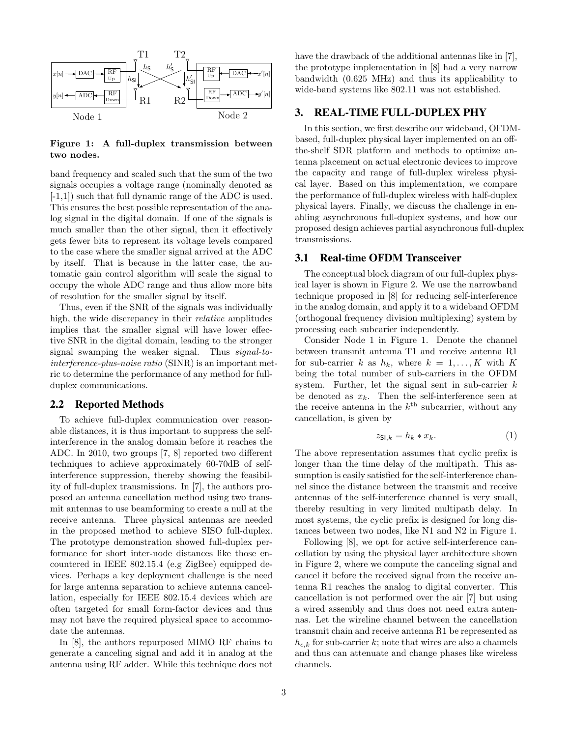

<span id="page-2-1"></span>Figure 1: A full-duplex transmission between two nodes.

band frequency and scaled such that the sum of the two signals occupies a voltage range (nominally denoted as [-1,1]) such that full dynamic range of the ADC is used. This ensures the best possible representation of the analog signal in the digital domain. If one of the signals is much smaller than the other signal, then it effectively gets fewer bits to represent its voltage levels compared to the case where the smaller signal arrived at the ADC by itself. That is because in the latter case, the automatic gain control algorithm will scale the signal to occupy the whole ADC range and thus allow more bits of resolution for the smaller signal by itself.

Thus, even if the SNR of the signals was individually high, the wide discrepancy in their *relative* amplitudes implies that the smaller signal will have lower effective SNR in the digital domain, leading to the stronger signal swamping the weaker signal. Thus signal-tointerference-plus-noise ratio (SINR) is an important metric to determine the performance of any method for fullduplex communications.

# 2.2 Reported Methods

To achieve full-duplex communication over reasonable distances, it is thus important to suppress the selfinterference in the analog domain before it reaches the ADC. In 2010, two groups [\[7,](#page-11-2) [8\]](#page-11-1) reported two different techniques to achieve approximately 60-70dB of selfinterference suppression, thereby showing the feasibility of full-duplex transmissions. In [\[7\]](#page-11-2), the authors proposed an antenna cancellation method using two transmit antennas to use beamforming to create a null at the receive antenna. Three physical antennas are needed in the proposed method to achieve SISO full-duplex. The prototype demonstration showed full-duplex performance for short inter-node distances like those encountered in IEEE 802.15.4 (e.g ZigBee) equipped devices. Perhaps a key deployment challenge is the need for large antenna separation to achieve antenna cancellation, especially for IEEE 802.15.4 devices which are often targeted for small form-factor devices and thus may not have the required physical space to accommodate the antennas.

In [\[8\]](#page-11-1), the authors repurposed MIMO RF chains to generate a canceling signal and add it in analog at the antenna using RF adder. While this technique does not

have the drawback of the additional antennas like in [\[7\]](#page-11-2), the prototype implementation in [\[8\]](#page-11-1) had a very narrow bandwidth (0.625 MHz) and thus its applicability to wide-band systems like 802.11 was not established.

# <span id="page-2-0"></span>3. REAL-TIME FULL-DUPLEX PHY

In this section, we first describe our wideband, OFDMbased, full-duplex physical layer implemented on an offthe-shelf SDR platform and methods to optimize antenna placement on actual electronic devices to improve the capacity and range of full-duplex wireless physical layer. Based on this implementation, we compare the performance of full-duplex wireless with half-duplex physical layers. Finally, we discuss the challenge in enabling asynchronous full-duplex systems, and how our proposed design achieves partial asynchronous full-duplex transmissions.

# <span id="page-2-2"></span>3.1 Real-time OFDM Transceiver

The conceptual block diagram of our full-duplex physical layer is shown in Figure [2.](#page-3-0) We use the narrowband technique proposed in [\[8\]](#page-11-1) for reducing self-interference in the analog domain, and apply it to a wideband OFDM (orthogonal frequency division multiplexing) system by processing each subcarier independently.

Consider Node 1 in Figure [1.](#page-2-1) Denote the channel between transmit antenna T1 and receive antenna R1 for sub-carrier k as  $h_k$ , where  $k = 1, ..., K$  with K being the total number of sub-carriers in the OFDM system. Further, let the signal sent in sub-carrier  $k$ be denoted as  $x_k$ . Then the self-interference seen at the receive antenna in the  $k^{\text{th}}$  subcarrier, without any cancellation, is given by

$$
z_{\mathsf{SI},k} = h_k * x_k. \tag{1}
$$

The above representation assumes that cyclic prefix is longer than the time delay of the multipath. This assumption is easily satisfied for the self-interference channel since the distance between the transmit and receive antennas of the self-interference channel is very small, thereby resulting in very limited multipath delay. In most systems, the cyclic prefix is designed for long distances between two nodes, like N1 and N2 in Figure [1.](#page-2-1)

Following [\[8\]](#page-11-1), we opt for active self-interference cancellation by using the physical layer architecture shown in Figure [2,](#page-3-0) where we compute the canceling signal and cancel it before the received signal from the receive antenna R1 reaches the analog to digital converter. This cancellation is not performed over the air [\[7\]](#page-11-2) but using a wired assembly and thus does not need extra antennas. Let the wireline channel between the cancellation transmit chain and receive antenna R1 be represented as  $h_{c,k}$  for sub-carrier k; note that wires are also a channels and thus can attenuate and change phases like wireless channels.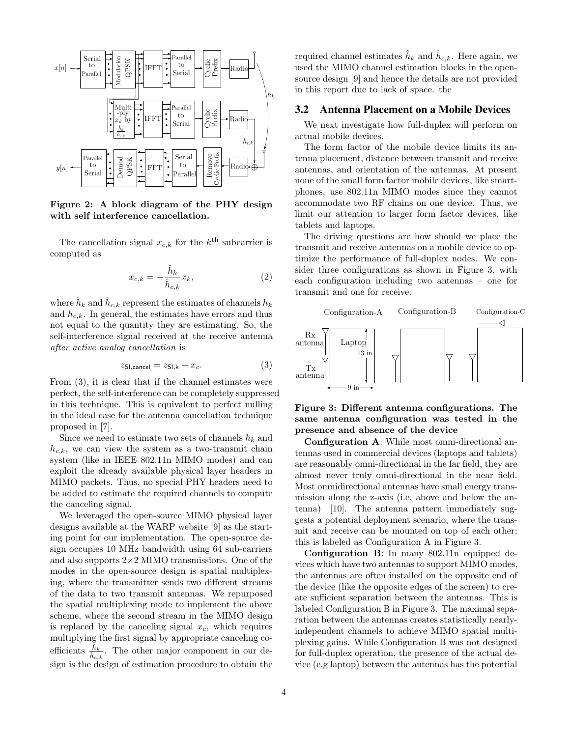

<span id="page-3-0"></span>Figure 2: A block diagram of the PHY design with self interference cancellation.

The cancellation signal  $x_{c,k}$  for the  $k^{\text{th}}$  subcarrier is computed as

$$
x_{c,k} = -\frac{\hat{h}_k}{\hat{h}_{c,k}} x_k,
$$
\n<sup>(2)</sup>

where  $\hat{h}_k$  and  $\hat{h}_{c,k}$  represent the estimates of channels  $h_k$ and  $h_{c,k}$ . In general, the estimates have errors and thus not equal to the quantity they are estimating. So, the self-interference signal received at the receive antenna after active analog cancellation is

<span id="page-3-1"></span>
$$
z_{\text{SI,cancel}} = z_{\text{SI,k}} + x_c. \tag{3}
$$

From [\(3\)](#page-3-1), it is clear that if the channel estimates were perfect, the self-interference can be completely suppressed in this technique. This is equivalent to perfect nulling in the ideal case for the antenna cancellation technique proposed in [\[7\]](#page-11-2).

Since we need to estimate two sets of channels  $h_k$  and  $h_{c,k}$ , we can view the system as a two-transmit chain system (like in IEEE 802.11n MIMO modes) and can exploit the already available physical layer headers in MIMO packets. Thus, no special PHY headers need to be added to estimate the required channels to compute the canceling signal.

We leveraged the open-source MIMO physical layer designs available at the WARP website [\[9\]](#page-11-3) as the starting point for our implementation. The open-source design occupies 10 MHz bandwidth using 64 sub-carriers and also supports  $2\times2$  MIMO transmissions. One of the modes in the open-source design is spatial multiplexing, where the transmitter sends two different streams of the data to two transmit antennas. We repurposed the spatial multiplexing mode to implement the above scheme, where the second stream in the MIMO design is replaced by the canceling signal  $x_c$ , which requires multiplying the first signal by appropriate canceling coefficients  $\frac{\hat{h}_k}{\hat{h}_{c,k}}$ . The other major component in our design is the design of estimation procedure to obtain the

required channel estimates  $\hat{h}_k$  and  $\hat{h}_{c,k}$ . Here again, we used the MIMO channel estimation blocks in the opensource design [\[9\]](#page-11-3) and hence the details are not provided in this report due to lack of space. the

# <span id="page-3-3"></span>3.2 Antenna Placement on a Mobile Devices

We next investigate how full-duplex will perform on actual mobile devices.

The form factor of the mobile device limits its antenna placement, distance between transmit and receive antennas, and orientation of the antennas. At present none of the small form factor mobile devices, like smartphones, use 802.11n MIMO modes since they cannot accommodate two RF chains on one device. Thus, we limit our attention to larger form factor devices, like tablets and laptops.

The driving questions are how should we place the transmit and receive antennas on a mobile device to optimize the performance of full-duplex nodes. We consider three configurations as shown in Figure [3,](#page-3-2) with each configuration including two antennas – one for transmit and one for receive.



# <span id="page-3-2"></span>Figure 3: Different antenna configurations. The same antenna configuration was tested in the presence and absence of the device

Configuration A: While most omni-directional antennas used in commercial devices (laptops and tablets) are reasonably omni-directional in the far field, they are almost never truly omni-directional in the near field. Most omnidirectional antennas have small energy transmission along the z-axis (i.e, above and below the antenna) [\[10\]](#page-11-4). The antenna pattern immediately suggests a potential deployment scenario, where the transmit and receive can be mounted on top of each other; this is labeled as Configuration A in Figure [3.](#page-3-2)

Configuration B: In many 802.11n equipped devices which have two antennas to support MIMO modes, the antennas are often installed on the opposite end of the device (like the opposite edges of the screen) to create sufficient separation between the antennas. This is labeled Configuration B in Figure [3.](#page-3-2) The maximal separation between the antennas creates statistically nearlyindependent channels to achieve MIMO spatial multiplexing gains. While Configuration B was not designed for full-duplex operation, the presence of the actual device (e.g laptop) between the antennas has the potential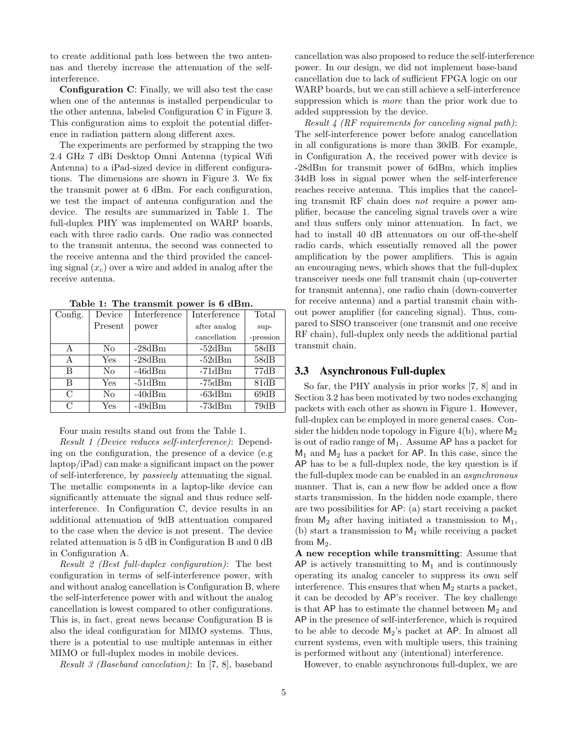to create additional path loss between the two antennas and thereby increase the attenuation of the selfinterference.

Configuration C: Finally, we will also test the case when one of the antennas is installed perpendicular to the other antenna, labeled Configuration C in Figure [3.](#page-3-2) This configuration aims to exploit the potential difference in radiation pattern along different axes.

The experiments are performed by strapping the two 2.4 GHz 7 dBi Desktop Omni Antenna (typical Wifi Antenna) to a iPad-sized device in different configurations. The dimensions are shown in Figure [3.](#page-3-2) We fix the transmit power at 6 dBm. For each configuration, we test the impact of antenna configuration and the device. The results are summarized in Table [1.](#page-4-0) The full-duplex PHY was implemented on WARP boards, each with three radio cards. One radio was connected to the transmit antenna, the second was connected to the receive antenna and the third provided the canceling signal  $(x_c)$  over a wire and added in analog after the receive antenna.

| Config.       | Device         | Interference | Interference | Total     |
|---------------|----------------|--------------|--------------|-----------|
|               | Present        | power        | after analog | sup-      |
|               |                |              | cancellation | -pression |
| А             | No             | $-28dBm$     | $-52dBm$     | 58dB      |
| A             | Yes            | $-28dBm$     | $-52dBm$     | 58dB      |
| В             | No             | $-46dBm$     | $-71dBm$     | 77dB      |
| В             | Yes            | $-51dBm$     | $-75dBm$     | 81dB      |
| $\mathcal{C}$ | N <sub>0</sub> | $-40dBm$     | $-63dBm$     | 69dB      |
| С             | Yes            | $-49dBm$     | $-73dBm$     | 79dB      |

<span id="page-4-0"></span>Table 1: The transmit power is 6 dBm.

# Four main results stand out from the Table [1.](#page-4-0)

Result 1 (Device reduces self-interference): Depending on the configuration, the presence of a device (e.g laptop/iPad) can make a significant impact on the power of self-interference, by passively attenuating the signal. The metallic components in a laptop-like device can significantly attenuate the signal and thus reduce selfinterference. In Configuration C, device results in an additional attenuation of 9dB attentuation compared to the case when the device is not present. The device related attenuation is 5 dB in Configuration B and 0 dB in Configuration A.

Result 2 (Best full-duplex configuration): The best configuration in terms of self-interference power, with and without analog cancellation is Configuration B, where the self-interference power with and without the analog cancellation is lowest compared to other configurations. This is, in fact, great news because Configuration B is also the ideal configuration for MIMO systems. Thus, there is a potential to use multiple antennas in either MIMO or full-duplex modes in mobile devices.

Result 3 (Baseband cancelation): In [\[7,](#page-11-2) [8\]](#page-11-1), baseband

cancellation was also proposed to reduce the self-interference power. In our design, we did not implement base-band cancellation due to lack of sufficient FPGA logic on our WARP boards, but we can still achieve a self-interference suppression which is more than the prior work due to added suppression by the device.

Result 4 (RF requirements for canceling signal path): The self-interference power before analog cancellation in all configurations is more than 30dB. For example, in Configuration A, the received power with device is -28dBm for transmit power of 6dBm, which implies 34dB loss in signal power when the self-interference reaches receive antenna. This implies that the canceling transmit RF chain does not require a power amplifier, because the canceling signal travels over a wire and thus suffers only minor attenuation. In fact, we had to install 40 dB attenuators on our off-the-shelf radio cards, which essentially removed all the power amplification by the power amplifiers. This is again an encouraging news, which shows that the full-duplex transceiver needs one full transmit chain (up-converter for transmit antenna), one radio chain (down-converter for receive antenna) and a partial transmit chain without power amplifier (for canceling signal). Thus, compared to SISO transceiver (one transmit and one receive RF chain), full-duplex only needs the additional partial transmit chain.

# <span id="page-4-1"></span>3.3 Asynchronous Full-duplex

So far, the PHY analysis in prior works [\[7,](#page-11-2) [8\]](#page-11-1) and in Section [3.2](#page-3-3) has been motivated by two nodes exchanging packets with each other as shown in Figure [1.](#page-2-1) However, full-duplex can be employed in more general cases. Con-sider the hidden node topology in Figure [4\(](#page-6-0)b), where  $M_2$ is out of radio range of  $M_1$ . Assume AP has a packet for  $M_1$  and  $M_2$  has a packet for AP. In this case, since the AP has to be a full-duplex node, the key question is if the full-duplex mode can be enabled in an asynchronous manner. That is, can a new flow be added once a flow starts transmission. In the hidden node example, there are two possibilities for AP: (a) start receiving a packet from  $M_2$  after having initiated a transmission to  $M_1$ , (b) start a transmission to  $M_1$  while receiving a packet from  $M_2$ .

A new reception while transmitting: Assume that AP is actively transmitting to  $M_1$  and is continuously operating its analog canceler to suppress its own self interference. This ensures that when  $M_2$  starts a packet, it can be decoded by AP's receiver. The key challenge is that  $AP$  has to estimate the channel between  $M_2$  and AP in the presence of self-interference, which is required to be able to decode  $M_2$ 's packet at AP. In almost all current systems, even with multiple users, this training is performed without any (intentional) interference.

However, to enable asynchronous full-duplex, we are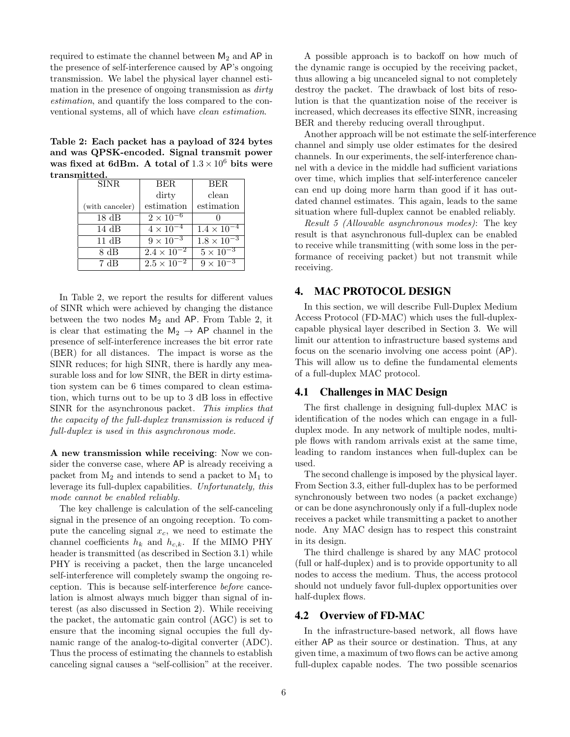required to estimate the channel between  $M_2$  and  $AP$  in the presence of self-interference caused by AP's ongoing transmission. We label the physical layer channel estimation in the presence of ongoing transmission as *dirty* estimation, and quantify the loss compared to the conventional systems, all of which have clean estimation.

<span id="page-5-1"></span>Table 2: Each packet has a payload of 324 bytes and was QPSK-encoded. Signal transmit power was fixed at 6dBm. A total of  $1.3\times10^6$  bits were transmitted.

| BER.                 | BER.                        |
|----------------------|-----------------------------|
| dirty                | clean                       |
| estimation           | estimation                  |
|                      |                             |
| $4 \times 10^{-4}$   | $1.4 \times 10^{-4}$        |
| $9 \times 10^{-3}$   | $1.8 \times 10^{-3}$        |
| $2.4 \times 10^{-2}$ | $5 \times 10^{-3}$          |
| $2.5 \times 10^{-2}$ | $9 \times 10^{-3}$          |
|                      | $2\times\overline{10^{-6}}$ |

In Table [2,](#page-5-1) we report the results for different values of SINR which were achieved by changing the distance between the two nodes  $M_2$  and AP. From Table [2,](#page-5-1) it is clear that estimating the  $M_2 \rightarrow AP$  channel in the presence of self-interference increases the bit error rate (BER) for all distances. The impact is worse as the SINR reduces; for high SINR, there is hardly any measurable loss and for low SINR, the BER in dirty estimation system can be 6 times compared to clean estimation, which turns out to be up to 3 dB loss in effective SINR for the asynchronous packet. This implies that the capacity of the full-duplex transmission is reduced if full-duplex is used in this asynchronous mode.

A new transmission while receiving: Now we consider the converse case, where AP is already receiving a packet from  $M_2$  and intends to send a packet to  $M_1$  to leverage its full-duplex capabilities. Unfortunately, this mode cannot be enabled reliably.

The key challenge is calculation of the self-canceling signal in the presence of an ongoing reception. To compute the canceling signal  $x_c$ , we need to estimate the channel coefficients  $h_k$  and  $h_{c,k}$ . If the MIMO PHY header is transmitted (as described in Section [3.1\)](#page-2-2) while PHY is receiving a packet, then the large uncanceled self-interference will completely swamp the ongoing reception. This is because self-interference before cancelation is almost always much bigger than signal of interest (as also discussed in Section [2\)](#page-1-0). While receiving the packet, the automatic gain control (AGC) is set to ensure that the incoming signal occupies the full dynamic range of the analog-to-digital converter (ADC). Thus the process of estimating the channels to establish canceling signal causes a "self-collision" at the receiver.

A possible approach is to backoff on how much of the dynamic range is occupied by the receiving packet, thus allowing a big uncanceled signal to not completely destroy the packet. The drawback of lost bits of resolution is that the quantization noise of the receiver is increased, which decreases its effective SINR, increasing BER and thereby reducing overall throughput.

Another approach will be not estimate the self-interference channel and simply use older estimates for the desired channels. In our experiments, the self-interference channel with a device in the middle had sufficient variations over time, which implies that self-interference canceler can end up doing more harm than good if it has outdated channel estimates. This again, leads to the same situation where full-duplex cannot be enabled reliably.

Result 5 (Allowable asynchronous modes): The key result is that asynchronous full-duplex can be enabled to receive while transmitting (with some loss in the performance of receiving packet) but not transmit while receiving.

# <span id="page-5-0"></span>4. MAC PROTOCOL DESIGN

In this section, we will describe Full-Duplex Medium Access Protocol (FD-MAC) which uses the full-duplexcapable physical layer described in Section [3.](#page-2-0) We will limit our attention to infrastructure based systems and focus on the scenario involving one access point (AP). This will allow us to define the fundamental elements of a full-duplex MAC protocol.

#### 4.1 Challenges in MAC Design

The first challenge in designing full-duplex MAC is identification of the nodes which can engage in a fullduplex mode. In any network of multiple nodes, multiple flows with random arrivals exist at the same time, leading to random instances when full-duplex can be used.

The second challenge is imposed by the physical layer. From Section [3.3,](#page-4-1) either full-duplex has to be performed synchronously between two nodes (a packet exchange) or can be done asynchronously only if a full-duplex node receives a packet while transmitting a packet to another node. Any MAC design has to respect this constraint in its design.

The third challenge is shared by any MAC protocol (full or half-duplex) and is to provide opportunity to all nodes to access the medium. Thus, the access protocol should not unduely favor full-duplex opportunities over half-duplex flows.

# 4.2 Overview of FD-MAC

In the infrastructure-based network, all flows have either AP as their source or destination. Thus, at any given time, a maximum of two flows can be active among full-duplex capable nodes. The two possible scenarios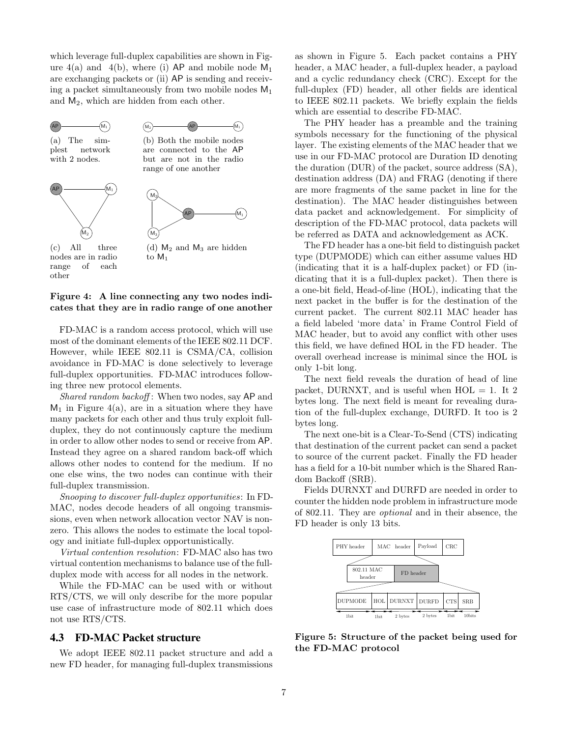which leverage full-duplex capabilities are shown in Figure  $4(a)$  and  $4(b)$ , where (i) AP and mobile node  $M_1$ are exchanging packets or (ii) AP is sending and receiving a packet simultaneously from two mobile nodes  $M_1$ and M2, which are hidden from each other.

<span id="page-6-4"></span><span id="page-6-2"></span><span id="page-6-1"></span>

nodes are in radio range of each other

# <span id="page-6-0"></span>Figure 4: A line connecting any two nodes indicates that they are in radio range of one another

FD-MAC is a random access protocol, which will use most of the dominant elements of the IEEE 802.11 DCF. However, while IEEE 802.11 is CSMA/CA, collision avoidance in FD-MAC is done selectively to leverage full-duplex opportunities. FD-MAC introduces following three new protocol elements.

Shared random backoff: When two nodes, say AP and  $M_1$  in Figure [4\(a\),](#page-6-1) are in a situation where they have many packets for each other and thus truly exploit fullduplex, they do not continuously capture the medium in order to allow other nodes to send or receive from AP. Instead they agree on a shared random back-off which allows other nodes to contend for the medium. If no one else wins, the two nodes can continue with their full-duplex transmission.

Snooping to discover full-duplex opportunities: In FD-MAC, nodes decode headers of all ongoing transmissions, even when network allocation vector NAV is nonzero. This allows the nodes to estimate the local topology and initiate full-duplex opportunistically.

Virtual contention resolution: FD-MAC also has two virtual contention mechanisms to balance use of the fullduplex mode with access for all nodes in the network.

While the FD-MAC can be used with or without RTS/CTS, we will only describe for the more popular use case of infrastructure mode of 802.11 which does not use RTS/CTS.

# 4.3 FD-MAC Packet structure

We adopt IEEE 802.11 packet structure and add a new FD header, for managing full-duplex transmissions as shown in Figure [5.](#page-6-3) Each packet contains a PHY header, a MAC header, a full-duplex header, a payload and a cyclic redundancy check (CRC). Except for the full-duplex (FD) header, all other fields are identical to IEEE 802.11 packets. We briefly explain the fields which are essential to describe FD-MAC.

The PHY header has a preamble and the training symbols necessary for the functioning of the physical layer. The existing elements of the MAC header that we use in our FD-MAC protocol are Duration ID denoting the duration (DUR) of the packet, source address (SA), destination address (DA) and FRAG (denoting if there are more fragments of the same packet in line for the destination). The MAC header distinguishes between data packet and acknowledgement. For simplicity of description of the FD-MAC protocol, data packets will be referred as DATA and acknowledgement as ACK.

The FD header has a one-bit field to distinguish packet type (DUPMODE) which can either assume values HD (indicating that it is a half-duplex packet) or FD (indicating that it is a full-duplex packet). Then there is a one-bit field, Head-of-line (HOL), indicating that the next packet in the buffer is for the destination of the current packet. The current 802.11 MAC header has a field labeled 'more data' in Frame Control Field of MAC header, but to avoid any conflict with other uses this field, we have defined HOL in the FD header. The overall overhead increase is minimal since the HOL is only 1-bit long.

The next field reveals the duration of head of line packet, DURNXT, and is useful when  $HOL = 1$ . It 2 bytes long. The next field is meant for revealing duration of the full-duplex exchange, DURFD. It too is 2 bytes long.

The next one-bit is a Clear-To-Send (CTS) indicating that destination of the current packet can send a packet to source of the current packet. Finally the FD header has a field for a 10-bit number which is the Shared Random Backoff (SRB).

Fields DURNXT and DURFD are needed in order to counter the hidden node problem in infrastructure mode of 802.11. They are optional and in their absence, the FD header is only 13 bits.



<span id="page-6-3"></span>Figure 5: Structure of the packet being used for the FD-MAC protocol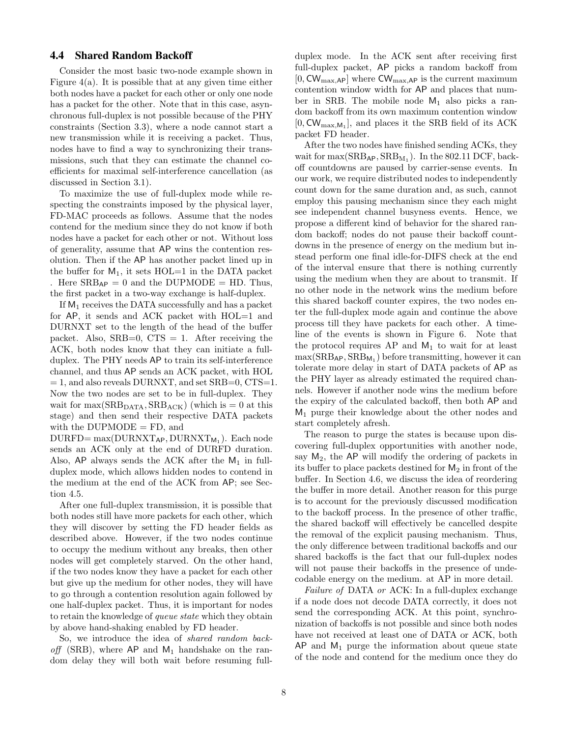# <span id="page-7-0"></span>4.4 Shared Random Backoff

Consider the most basic two-node example shown in Figure  $4(a)$ . It is possible that at any given time either both nodes have a packet for each other or only one node has a packet for the other. Note that in this case, asynchronous full-duplex is not possible because of the PHY constraints (Section [3.3\)](#page-4-1), where a node cannot start a new transmission while it is receiving a packet. Thus, nodes have to find a way to synchronizing their transmissions, such that they can estimate the channel coefficients for maximal self-interference cancellation (as discussed in Section [3.1\)](#page-2-2).

To maximize the use of full-duplex mode while respecting the constraints imposed by the physical layer, FD-MAC proceeds as follows. Assume that the nodes contend for the medium since they do not know if both nodes have a packet for each other or not. Without loss of generality, assume that AP wins the contention resolution. Then if the AP has another packet lined up in the buffer for  $M_1$ , it sets HOL=1 in the DATA packet . Here  $SRB_{AP} = 0$  and the DUPMODE = HD. Thus, the first packet in a two-way exchange is half-duplex.

If  $M_1$  receives the DATA successfully and has a packet for AP, it sends and ACK packet with HOL=1 and DURNXT set to the length of the head of the buffer packet. Also,  $SRB=0$ ,  $CTS = 1$ . After receiving the ACK, both nodes know that they can initiate a fullduplex. The PHY needs AP to train its self-interference channel, and thus AP sends an ACK packet, with HOL  $= 1$ , and also reveals DURNXT, and set SRB=0, CTS=1. Now the two nodes are set to be in full-duplex. They wait for  $\max(\text{SRB}_{\text{DATA}}, \text{SRB}_{\text{ACK}})$  (which is  $= 0$  at this stage) and then send their respective DATA packets with the  $DUPMODE = FD$ , and

 $\text{DURFD} = \max(\text{DURNXT}_{AP}, \text{DURNXT}_{M_1})$ . Each node sends an ACK only at the end of DURFD duration. Also,  $AP$  always sends the ACK after the  $M_1$  in fullduplex mode, which allows hidden nodes to contend in the medium at the end of the ACK from AP; see Section [4.5.](#page-8-0)

After one full-duplex transmission, it is possible that both nodes still have more packets for each other, which they will discover by setting the FD header fields as described above. However, if the two nodes continue to occupy the medium without any breaks, then other nodes will get completely starved. On the other hand, if the two nodes know they have a packet for each other but give up the medium for other nodes, they will have to go through a contention resolution again followed by one half-duplex packet. Thus, it is important for nodes to retain the knowledge of queue state which they obtain by above hand-shaking enabled by FD header.

So, we introduce the idea of shared random backoff (SRB), where  $AP$  and  $M_1$  handshake on the random delay they will both wait before resuming fullduplex mode. In the ACK sent after receiving first full-duplex packet, AP picks a random backoff from  $[0, \text{CW}_{\text{max},\text{AP}}]$  where  $\text{CW}_{\text{max},\text{AP}}$  is the current maximum contention window width for AP and places that number in SRB. The mobile node  $M_1$  also picks a random backoff from its own maximum contention window  $[0, \text{CW}_{\text{max},M_1}]$ , and places it the SRB field of its ACK packet FD header.

After the two nodes have finished sending ACKs, they wait for  $\max(\text{SRB}_{AP}, \text{SRB}_{M_1})$ . In the 802.11 DCF, backoff countdowns are paused by carrier-sense events. In our work, we require distributed nodes to independently count down for the same duration and, as such, cannot employ this pausing mechanism since they each might see independent channel busyness events. Hence, we propose a different kind of behavior for the shared random backoff; nodes do not pause their backoff countdowns in the presence of energy on the medium but instead perform one final idle-for-DIFS check at the end of the interval ensure that there is nothing currently using the medium when they are about to transmit. If no other node in the network wins the medium before this shared backoff counter expires, the two nodes enter the full-duplex mode again and continue the above process till they have packets for each other. A timeline of the events is shown in Figure 6. Note that the protocol requires AP and  $M_1$  to wait for at least  $\max(\text{SRB}_{\mathsf{AP}}, \text{SRB}_{\mathsf{M}_1})$  before transmitting, however it can tolerate more delay in start of DATA packets of AP as the PHY layer as already estimated the required channels. However if another node wins the medium before the expiry of the calculated backoff, then both AP and  $M_1$  purge their knowledge about the other nodes and start completely afresh.

The reason to purge the states is because upon discovering full-duplex opportunities with another node, say  $M_2$ , the AP will modify the ordering of packets in its buffer to place packets destined for  $M_2$  in front of the buffer. In Section 4.6, we discuss the idea of reordering the buffer in more detail. Another reason for this purge is to account for the previously discussed modification to the backoff process. In the presence of other traffic, the shared backoff will effectively be cancelled despite the removal of the explicit pausing mechanism. Thus, the only difference between traditional backoffs and our shared backoffs is the fact that our full-duplex nodes will not pause their backoffs in the presence of undecodable energy on the medium. at AP in more detail.

Failure of DATA or ACK: In a full-duplex exchange if a node does not decode DATA correctly, it does not send the corresponding ACK. At this point, synchronization of backoffs is not possible and since both nodes have not received at least one of DATA or ACK, both  $AP$  and  $M_1$  purge the information about queue state of the node and contend for the medium once they do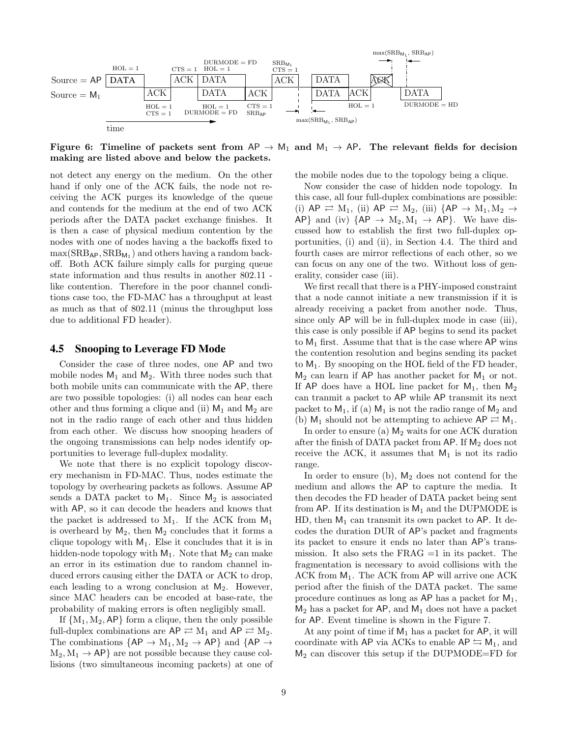

Figure 6: Timeline of packets sent from  $AP \rightarrow M_1$  and  $M_1 \rightarrow AP$ . The relevant fields for decision making are listed above and below the packets.

not detect any energy on the medium. On the other hand if only one of the ACK fails, the node not receiving the ACK purges its knowledge of the queue and contends for the medium at the end of two ACK periods after the DATA packet exchange finishes. It is then a case of physical medium contention by the nodes with one of nodes having a the backoffs fixed to  $\max(SRB_{AP}, SRB_{M_1})$  and others having a random backoff. Both ACK failure simply calls for purging queue state information and thus results in another 802.11 like contention. Therefore in the poor channel conditions case too, the FD-MAC has a throughput at least as much as that of 802.11 (minus the throughput loss due to additional FD header).

### <span id="page-8-0"></span>4.5 Snooping to Leverage FD Mode

Consider the case of three nodes, one AP and two mobile nodes  $M_1$  and  $M_2$ . With three nodes such that both mobile units can communicate with the AP, there are two possible topologies: (i) all nodes can hear each other and thus forming a clique and (ii)  $M_1$  and  $M_2$  are not in the radio range of each other and thus hidden from each other. We discuss how snooping headers of the ongoing transmissions can help nodes identify opportunities to leverage full-duplex modality.

We note that there is no explicit topology discovery mechanism in FD-MAC. Thus, nodes estimate the topology by overhearing packets as follows. Assume AP sends a DATA packet to  $M_1$ . Since  $M_2$  is associated with AP, so it can decode the headers and knows that the packet is addressed to  $M_1$ . If the ACK from  $M_1$ is overheard by  $M_2$ , then  $M_2$  concludes that it forms a clique topology with  $M_1$ . Else it concludes that it is in hidden-node topology with  $M_1$ . Note that  $M_2$  can make an error in its estimation due to random channel induced errors causing either the DATA or ACK to drop, each leading to a wrong conclusion at  $M_2$ . However, since MAC headers can be encoded at base-rate, the probability of making errors is often negligibly small.

If  ${M_1, M_2, AP}$  form a clique, then the only possible full-duplex combinations are  $\mathsf{AP} \rightleftarrows \mathrm{M}_1$  and  $\mathsf{AP} \rightleftarrows \mathrm{M}_2$ . The combinations  ${AP \rightarrow M_1, M_2 \rightarrow AP}$  and  ${AP \rightarrow}$  $M_2, M_1 \rightarrow AP$  are not possible because they cause collisions (two simultaneous incoming packets) at one of

the mobile nodes due to the topology being a clique.

Now consider the case of hidden node topology. In this case, all four full-duplex combinations are possible: (i)  $AP \rightleftarrows M_1$ , (ii)  $AP \rightleftarrows M_2$ , (iii)  ${AP \rightarrow M_1, M_2 \rightarrow}$ AP} and (iv)  $\{AP \rightarrow M_2, M_1 \rightarrow AP\}$ . We have discussed how to establish the first two full-duplex opportunities, (i) and (ii), in Section [4.4.](#page-7-0) The third and fourth cases are mirror reflections of each other, so we can focus on any one of the two. Without loss of generality, consider case (iii).

We first recall that there is a PHY-imposed constraint that a node cannot initiate a new transmission if it is already receiving a packet from another node. Thus, since only AP will be in full-duplex mode in case (iii), this case is only possible if AP begins to send its packet to  $M_1$  first. Assume that that is the case where AP wins the contention resolution and begins sending its packet to  $M_1$ . By snooping on the HOL field of the FD header,  $M_2$  can learn if AP has another packet for  $M_1$  or not. If AP does have a HOL line packet for  $M_1$ , then  $M_2$ can tranmit a packet to AP while AP transmit its next packet to  $M_1$ , if (a)  $M_1$  is not the radio range of  $M_2$  and (b)  $M_1$  should not be attempting to achieve  $AP \rightleftarrows M_1$ .

In order to ensure (a)  $M_2$  waits for one ACK duration after the finish of DATA packet from  $AP$ . If  $M_2$  does not receive the ACK, it assumes that  $M_1$  is not its radio range.

In order to ensure  $(b)$ ,  $M_2$  does not contend for the medium and allows the AP to capture the media. It then decodes the FD header of DATA packet being sent from AP. If its destination is  $M_1$  and the DUPMODE is HD, then  $M_1$  can transmit its own packet to AP. It decodes the duration DUR of AP's packet and fragments its packet to ensure it ends no later than AP's transmission. It also sets the  $FRAG =1$  in its packet. The fragmentation is necessary to avoid collisions with the ACK from  $M_1$ . The ACK from AP will arrive one ACK period after the finish of the DATA packet. The same procedure continues as long as  $AP$  has a packet for  $M_1$ ,  $M_2$  has a packet for AP, and  $M_1$  does not have a packet for AP. Event timeline is shown in the Figure [7.](#page-9-0)

At any point of time if  $M_1$  has a packet for AP, it will coordinate with AP via ACKs to enable  $AP \leq M_1$ , and  $M_2$  can discover this setup if the DUPMODE=FD for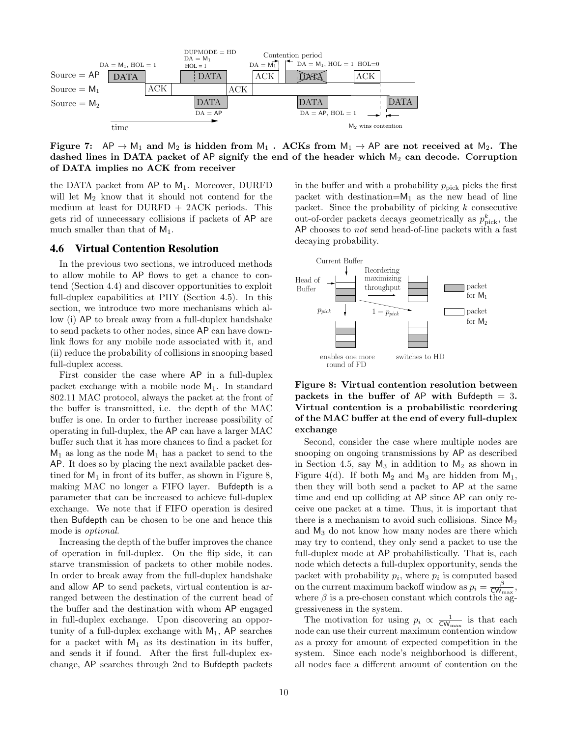

<span id="page-9-0"></span>Figure 7:  $AP \rightarrow M_1$  and  $M_2$  is hidden from  $M_1$ . ACKs from  $M_1 \rightarrow AP$  are not received at  $M_2$ . The dashed lines in DATA packet of AP signify the end of the header which  $M_2$  can decode. Corruption of DATA implies no ACK from receiver

the DATA packet from  $AP$  to  $M_1$ . Moreover, DURFD will let  $M_2$  know that it should not contend for the medium at least for  $DURFD + 2ACK$  periods. This gets rid of unnecessary collisions if packets of AP are much smaller than that of  $M_1$ .

## 4.6 Virtual Contention Resolution

In the previous two sections, we introduced methods to allow mobile to AP flows to get a chance to contend (Section [4.4\)](#page-7-0) and discover opportunities to exploit full-duplex capabilities at PHY (Section [4.5\)](#page-8-0). In this section, we introduce two more mechanisms which allow (i) AP to break away from a full-duplex handshake to send packets to other nodes, since AP can have downlink flows for any mobile node associated with it, and (ii) reduce the probability of collisions in snooping based full-duplex access.

First consider the case where AP in a full-duplex packet exchange with a mobile node  $M_1$ . In standard 802.11 MAC protocol, always the packet at the front of the buffer is transmitted, i.e. the depth of the MAC buffer is one. In order to further increase possibility of operating in full-duplex, the AP can have a larger MAC buffer such that it has more chances to find a packet for  $M_1$  as long as the node  $M_1$  has a packet to send to the AP. It does so by placing the next available packet destined for  $M_1$  in front of its buffer, as shown in Figure [8,](#page-9-1) making MAC no longer a FIFO layer. Bufdepth is a parameter that can be increased to achieve full-duplex exchange. We note that if FIFO operation is desired then Bufdepth can be chosen to be one and hence this mode is optional.

Increasing the depth of the buffer improves the chance of operation in full-duplex. On the flip side, it can starve transmission of packets to other mobile nodes. In order to break away from the full-duplex handshake and allow AP to send packets, virtual contention is arranged between the destination of the current head of the buffer and the destination with whom AP engaged in full-duplex exchange. Upon discovering an opportunity of a full-duplex exchange with  $M_1$ , AP searches for a packet with  $M_1$  as its destination in its buffer, and sends it if found. After the first full-duplex exchange, AP searches through 2nd to Bufdepth packets

in the buffer and with a probability  $p_{\text{pick}}$  picks the first packet with destination= $M_1$  as the new head of line packet. Since the probability of picking k consecutive out-of-order packets decays geometrically as  $p_{\text{pick}}^k$ , the AP chooses to *not* send head-of-line packets with a fast decaying probability.



<span id="page-9-1"></span>Figure 8: Virtual contention resolution between packets in the buffer of AP with Bufdepth  $= 3$ . Virtual contention is a probabilistic reordering of the MAC buffer at the end of every full-duplex exchange

Second, consider the case where multiple nodes are snooping on ongoing transmissions by AP as described in Section [4.5,](#page-8-0) say  $M_3$  in addition to  $M_2$  as shown in Figure [4\(](#page-6-0)d). If both  $M_2$  and  $M_3$  are hidden from  $M_1$ , then they will both send a packet to AP at the same time and end up colliding at AP since AP can only receive one packet at a time. Thus, it is important that there is a mechanism to avoid such collisions. Since  $M_2$ and M<sup>3</sup> do not know how many nodes are there which may try to contend, they only send a packet to use the full-duplex mode at AP probabilistically. That is, each node which detects a full-duplex opportunity, sends the packet with probability  $p_i$ , where  $p_i$  is computed based on the current maximum backoff window as  $p_i = \frac{\beta}{\text{CW}_{\text{max}}}$ , where  $\beta$  is a pre-chosen constant which controls the aggressiveness in the system.

The motivation for using  $p_i \propto \frac{1}{\mathsf{CW}_{\max}}$  is that each node can use their current maximum contention window as a proxy for amount of expected competition in the system. Since each node's neighborhood is different, all nodes face a different amount of contention on the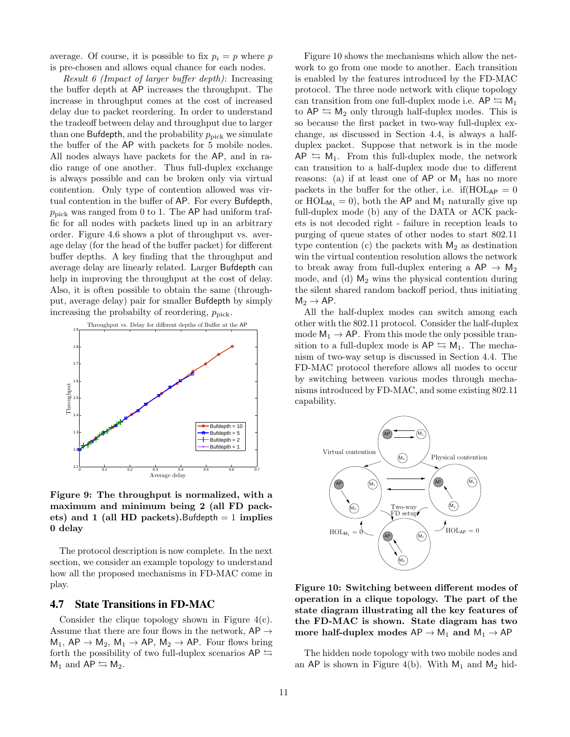average. Of course, it is possible to fix  $p_i = p$  where p is pre-chosen and allows equal chance for each nodes.

Result 6 (Impact of larger buffer depth): Increasing the buffer depth at AP increases the throughput. The increase in throughput comes at the cost of increased delay due to packet reordering. In order to understand the tradeoff between delay and throughput due to larger than one Bufdepth, and the probability  $p_{\text{pick}}$  we simulate the buffer of the AP with packets for 5 mobile nodes. All nodes always have packets for the AP, and in radio range of one another. Thus full-duplex exchange is always possible and can be broken only via virtual contention. Only type of contention allowed was virtual contention in the buffer of AP. For every Bufdepth,  $p_{\text{pick}}$  was ranged from 0 to 1. The AP had uniform traffic for all nodes with packets lined up in an arbitrary order. Figure [4.6](#page-9-1) shows a plot of throughput vs. average delay (for the head of the buffer packet) for different buffer depths. A key finding that the throughput and average delay are linearly related. Larger Bufdepth can help in improving the throughput at the cost of delay. Also, it is often possible to obtain the same (throughput, average delay) pair for smaller Bufdepth by simply increasing the probabilty of reordering,  $p_{\text{pick}}$ .



Figure 9: The throughput is normalized, with a maximum and minimum being 2 (all FD packets) and 1 (all HD packets). Bufdepth  $= 1$  implies 0 delay

The protocol description is now complete. In the next section, we consider an example topology to understand how all the proposed mechanisms in FD-MAC come in play.

#### 4.7 State Transitions in FD-MAC

Consider the clique topology shown in Figure [4\(c\).](#page-6-4) Assume that there are four flows in the network,  $AP \rightarrow$  $M_1$ ,  $AP \rightarrow M_2$ ,  $M_1 \rightarrow AP$ ,  $M_2 \rightarrow AP$ . Four flows bring forth the possibility of two full-duplex scenarios  $AP \nightharpoonup$  $M_1$  and  $AP \leftrightarrows M_2$ .

Figure [10](#page-10-0) shows the mechanisms which allow the network to go from one mode to another. Each transition is enabled by the features introduced by the FD-MAC protocol. The three node network with clique topology can transition from one full-duplex mode i.e.  $AP \leq M_1$ to  $AP \leq M_2$  only through half-duplex modes. This is so because the first packet in two-way full-duplex exchange, as discussed in Section [4.4,](#page-7-0) is always a halfduplex packet. Suppose that network is in the mode  $AP \nightharpoonup M_1$ . From this full-duplex mode, the network can transition to a half-duplex mode due to different reasons: (a) if at least one of  $AP$  or  $M_1$  has no more packets in the buffer for the other, i.e. if  $HOL_{AP} = 0$ or  $HOL_{M_1} = 0$ , both the AP and  $M_1$  naturally give up full-duplex mode (b) any of the DATA or ACK packets is not decoded right - failure in reception leads to purging of queue states of other nodes to start 802.11 type contention (c) the packets with  $M_2$  as destination win the virtual contention resolution allows the network to break away from full-duplex entering a  $AP \rightarrow M_2$ mode, and (d)  $M_2$  wins the physical contention during the silent shared random backoff period, thus initiating  $M_2 \rightarrow AP$ .

All the half-duplex modes can switch among each other with the 802.11 protocol. Consider the half-duplex mode  $M_1 \rightarrow AP$ . From this mode the only possible transition to a full-duplex mode is  $AP \leq M_1$ . The mechanism of two-way setup is discussed in Section [4.4.](#page-7-0) The FD-MAC protocol therefore allows all modes to occur by switching between various modes through mechanisms introduced by FD-MAC, and some existing 802.11 capability.



<span id="page-10-0"></span>Figure 10: Switching between different modes of operation in a clique topology. The part of the state diagram illustrating all the key features of the FD-MAC is shown. State diagram has two more half-duplex modes  $AP \rightarrow M_1$  and  $M_1 \rightarrow AP$ 

The hidden node topology with two mobile nodes and an AP is shown in Figure [4\(](#page-6-0)b). With  $M_1$  and  $M_2$  hid